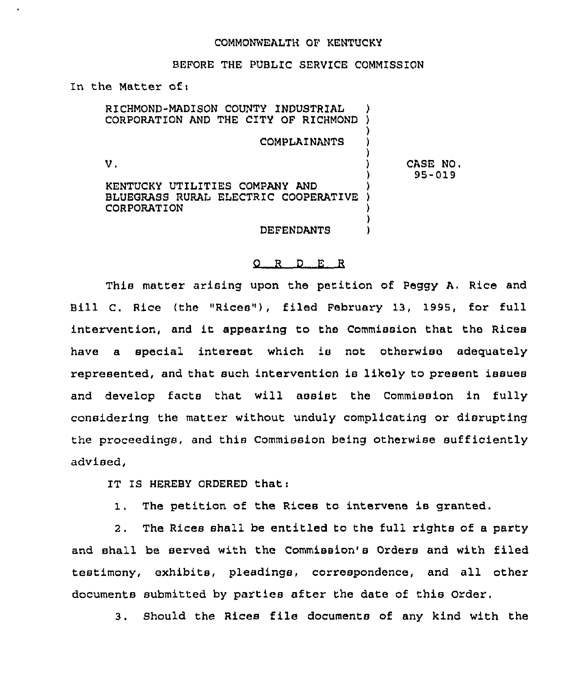## COMMONWEALTH OF KENTUCKY

## BEFORE THE PUBLIC SERVICE COMMISSION

In the Matter of:

RICHMOND-MADISON COUNTY INDUSTRIAL CORPORATION AND THE CITY OF RICHMOND COMPLAINANTS V.

CASE NO. 95-019

KENTUCKY UTILITIES COMPANY AND BLUEGRASS RURAL ELECTRIC COOPERATIVE CORPORATION

DEFENDANTS

<sup>)</sup>

## 0 <sup>R</sup> <sup>D</sup> <sup>E</sup> <sup>R</sup>

This matter arising upon the petition of Peggy A. Rice and Bill C. Rice (the "Riess"), filed February 13, 1995, for full intervention, and it appearing to the Commission that the Riess have a special interest which is not otherwiso adequately represented, and that such intervention is likely to present issues and develop facts that will assist the Commission in fully considering the matter without unduly complicating or disrupting the proceedings, and this Commission being otherwise sufficiently advised,

IT IS HEREBY ORDERED that:

1. The petition of the Rices to intervene is granted.

2. The Riess shall be entitled to the full rights of a party and shall be served with the Commission's Orders and with filed testimony, exhibits, pleadings, correspondence, and all other documents submitted by parties after the date of this Order,

3. Should the Rices file documents of any kind with the